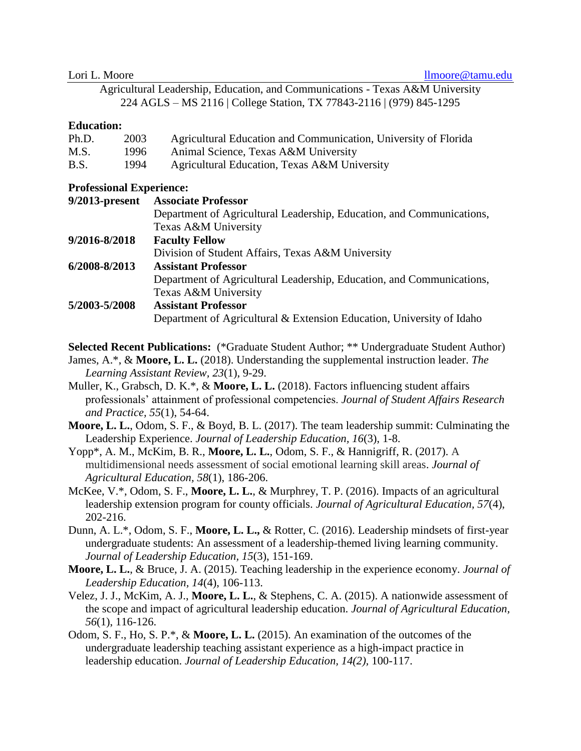|  | Lori L. Moore |
|--|---------------|
|  |               |

Agricultural Leadership, Education, and Communications - Texas A&M University 224 AGLS – MS 2116 | College Station, TX 77843-2116 | (979) 845-1295

#### **Education:**

| Ph.D. | 2003 | Agricultural Education and Communication, University of Florida |
|-------|------|-----------------------------------------------------------------|
| M.S.  | 1996 | Animal Science, Texas A&M University                            |
| B.S.  | 1994 | Agricultural Education, Texas A&M University                    |

### **Professional Experience:**

| 9/2013-present | <b>Associate Professor</b>                                            |
|----------------|-----------------------------------------------------------------------|
|                | Department of Agricultural Leadership, Education, and Communications, |
|                | Texas A&M University                                                  |
| 9/2016-8/2018  | <b>Faculty Fellow</b>                                                 |
|                | Division of Student Affairs, Texas A&M University                     |
| 6/2008-8/2013  | <b>Assistant Professor</b>                                            |
|                | Department of Agricultural Leadership, Education, and Communications, |
|                | Texas A&M University                                                  |
| 5/2003-5/2008  | <b>Assistant Professor</b>                                            |
|                | Department of Agricultural & Extension Education, University of Idaho |

**Selected Recent Publications:** (\*Graduate Student Author; \*\* Undergraduate Student Author)

James, A.\*, & **Moore, L. L.** (2018). Understanding the supplemental instruction leader. *The Learning Assistant Review, 23*(1), 9-29.

Muller, K., Grabsch, D. K.\*, & **Moore, L. L.** (2018). Factors influencing student affairs professionals' attainment of professional competencies. *Journal of Student Affairs Research and Practice, 55*(1), 54-64.

**Moore, L. L.**, Odom, S. F., & Boyd, B. L. (2017). The team leadership summit: Culminating the Leadership Experience. *Journal of Leadership Education, 16*(3), 1-8.

Yopp\*, A. M., McKim, B. R., **Moore, L. L.**, Odom, S. F., & Hannigriff, R. (2017). A multidimensional needs assessment of social emotional learning skill areas. *Journal of Agricultural Education, 58*(1), 186-206.

McKee, V.\*, Odom, S. F., **Moore, L. L.**, & Murphrey, T. P. (2016). Impacts of an agricultural leadership extension program for county officials. *Journal of Agricultural Education, 57*(4), 202-216.

Dunn, A. L.\*, Odom, S. F., **Moore, L. L.,** & Rotter, C. (2016). Leadership mindsets of first-year undergraduate students: An assessment of a leadership-themed living learning community. *Journal of Leadership Education, 15*(3), 151-169.

**Moore, L. L.**, & Bruce, J. A. (2015). Teaching leadership in the experience economy. *Journal of Leadership Education, 14*(4), 106-113.

Velez, J. J., McKim, A. J., **Moore, L. L.**, & Stephens, C. A. (2015). A nationwide assessment of the scope and impact of agricultural leadership education. *Journal of Agricultural Education, 56*(1), 116-126.

Odom, S. F., Ho, S. P.\*, & **Moore, L. L.** (2015). An examination of the outcomes of the undergraduate leadership teaching assistant experience as a high-impact practice in leadership education. *Journal of Leadership Education, 14(2),* 100-117.